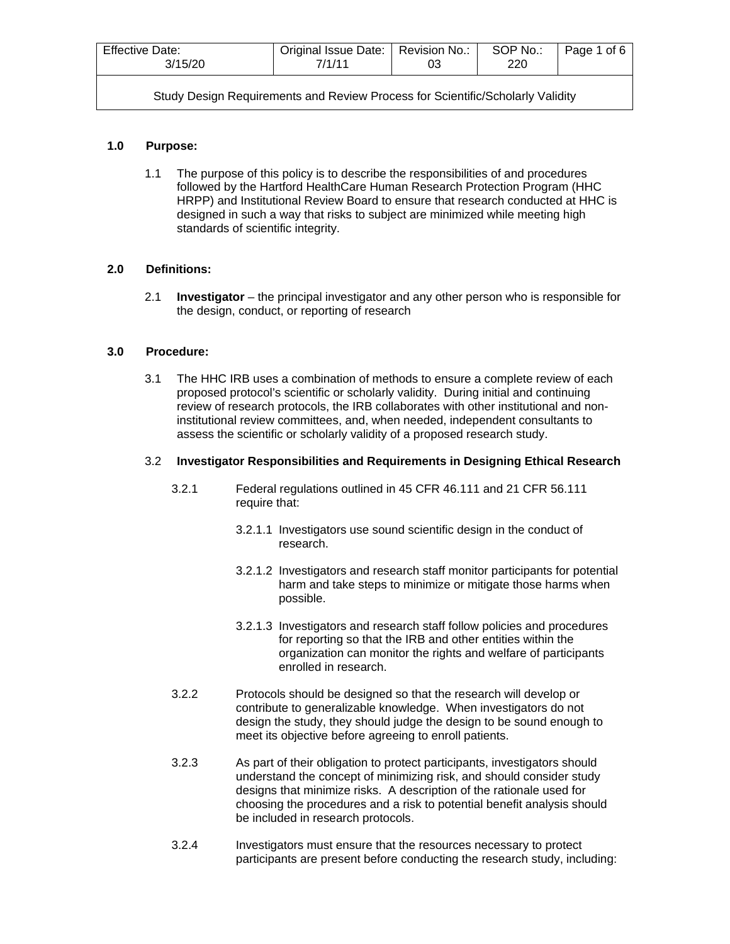| Effective Date:<br>3/15/20                                                     | Original Issue Date:   Revision No.:<br>7/1/11<br>03 |  | SOP No.:<br>220 | Page 1 of 6 |  |
|--------------------------------------------------------------------------------|------------------------------------------------------|--|-----------------|-------------|--|
| Study Design Requirements and Review Process for Scientific/Scholarly Validity |                                                      |  |                 |             |  |

# **1.0 Purpose:**

1.1 The purpose of this policy is to describe the responsibilities of and procedures followed by the Hartford HealthCare Human Research Protection Program (HHC HRPP) and Institutional Review Board to ensure that research conducted at HHC is designed in such a way that risks to subject are minimized while meeting high standards of scientific integrity.

## **2.0 Definitions:**

2.1 **Investigator** – the principal investigator and any other person who is responsible for the design, conduct, or reporting of research

## **3.0 Procedure:**

3.1 The HHC IRB uses a combination of methods to ensure a complete review of each proposed protocol's scientific or scholarly validity. During initial and continuing review of research protocols, the IRB collaborates with other institutional and noninstitutional review committees, and, when needed, independent consultants to assess the scientific or scholarly validity of a proposed research study.

#### 3.2 **Investigator Responsibilities and Requirements in Designing Ethical Research**

- 3.2.1 Federal regulations outlined in 45 CFR 46.111 and 21 CFR 56.111 require that:
	- 3.2.1.1 Investigators use sound scientific design in the conduct of research.
	- 3.2.1.2 Investigators and research staff monitor participants for potential harm and take steps to minimize or mitigate those harms when possible.
	- 3.2.1.3 Investigators and research staff follow policies and procedures for reporting so that the IRB and other entities within the organization can monitor the rights and welfare of participants enrolled in research.
- 3.2.2 Protocols should be designed so that the research will develop or contribute to generalizable knowledge. When investigators do not design the study, they should judge the design to be sound enough to meet its objective before agreeing to enroll patients.
- 3.2.3 As part of their obligation to protect participants, investigators should understand the concept of minimizing risk, and should consider study designs that minimize risks. A description of the rationale used for choosing the procedures and a risk to potential benefit analysis should be included in research protocols.
- 3.2.4 Investigators must ensure that the resources necessary to protect participants are present before conducting the research study, including: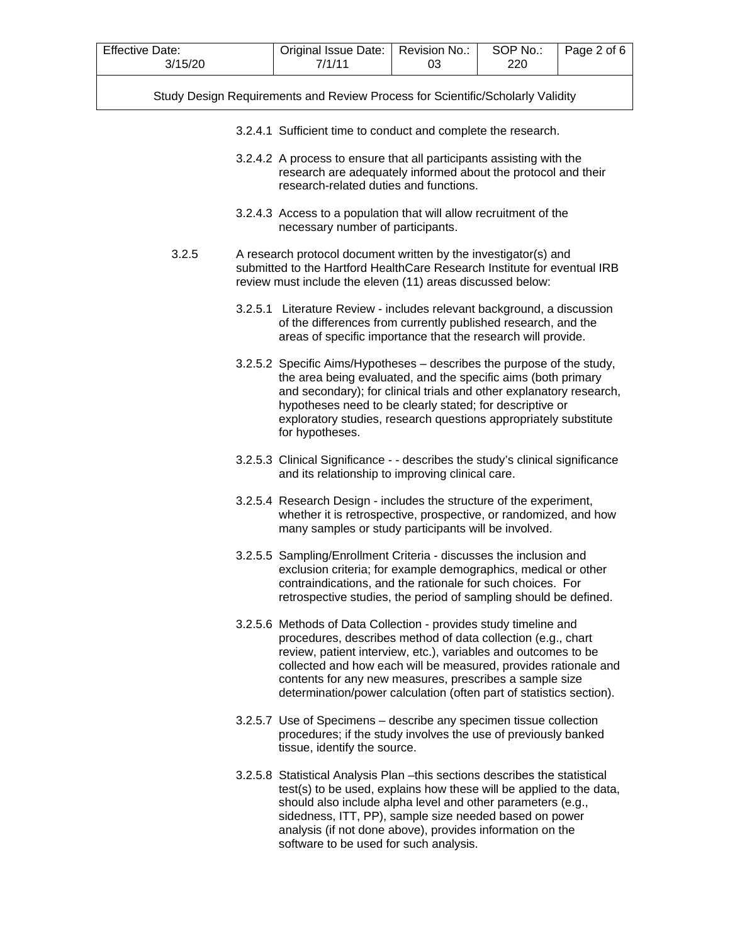| <b>Effective Date:</b><br>3/15/20 | Revision No.:<br>03                                                                                                                                                                                                                                                                                                                                                                                     | SOP No.:<br>220 | Page 2 of 6 |  |
|-----------------------------------|---------------------------------------------------------------------------------------------------------------------------------------------------------------------------------------------------------------------------------------------------------------------------------------------------------------------------------------------------------------------------------------------------------|-----------------|-------------|--|
|                                   | Study Design Requirements and Review Process for Scientific/Scholarly Validity                                                                                                                                                                                                                                                                                                                          |                 |             |  |
|                                   | 3.2.4.1 Sufficient time to conduct and complete the research.                                                                                                                                                                                                                                                                                                                                           |                 |             |  |
|                                   | 3.2.4.2 A process to ensure that all participants assisting with the<br>research are adequately informed about the protocol and their<br>research-related duties and functions.                                                                                                                                                                                                                         |                 |             |  |
|                                   | 3.2.4.3 Access to a population that will allow recruitment of the<br>necessary number of participants.                                                                                                                                                                                                                                                                                                  |                 |             |  |
| 3.2.5                             | A research protocol document written by the investigator(s) and<br>submitted to the Hartford HealthCare Research Institute for eventual IRB<br>review must include the eleven (11) areas discussed below:                                                                                                                                                                                               |                 |             |  |
|                                   | 3.2.5.1 Literature Review - includes relevant background, a discussion<br>of the differences from currently published research, and the<br>areas of specific importance that the research will provide.                                                                                                                                                                                                 |                 |             |  |
|                                   | 3.2.5.2 Specific Aims/Hypotheses – describes the purpose of the study,<br>the area being evaluated, and the specific aims (both primary<br>and secondary); for clinical trials and other explanatory research,<br>hypotheses need to be clearly stated; for descriptive or<br>exploratory studies, research questions appropriately substitute<br>for hypotheses.                                       |                 |             |  |
|                                   | 3.2.5.3 Clinical Significance - - describes the study's clinical significance<br>and its relationship to improving clinical care.                                                                                                                                                                                                                                                                       |                 |             |  |
|                                   | 3.2.5.4 Research Design - includes the structure of the experiment,<br>whether it is retrospective, prospective, or randomized, and how<br>many samples or study participants will be involved.                                                                                                                                                                                                         |                 |             |  |
|                                   | 3.2.5.5 Sampling/Enrollment Criteria - discusses the inclusion and<br>exclusion criteria; for example demographics, medical or other<br>contraindications, and the rationale for such choices. For<br>retrospective studies, the period of sampling should be defined.                                                                                                                                  |                 |             |  |
|                                   | 3.2.5.6 Methods of Data Collection - provides study timeline and<br>procedures, describes method of data collection (e.g., chart<br>review, patient interview, etc.), variables and outcomes to be<br>collected and how each will be measured, provides rationale and<br>contents for any new measures, prescribes a sample size<br>determination/power calculation (often part of statistics section). |                 |             |  |
|                                   | 3.2.5.7 Use of Specimens – describe any specimen tissue collection<br>procedures; if the study involves the use of previously banked<br>tissue, identify the source.                                                                                                                                                                                                                                    |                 |             |  |
|                                   | 3.2.5.8 Statistical Analysis Plan - this sections describes the statistical<br>test(s) to be used, explains how these will be applied to the data,<br>should also include alpha level and other parameters (e.g.,                                                                                                                                                                                       |                 |             |  |

sidedness, ITT, PP), sample size needed based on power analysis (if not done above), provides information on the

software to be used for such analysis.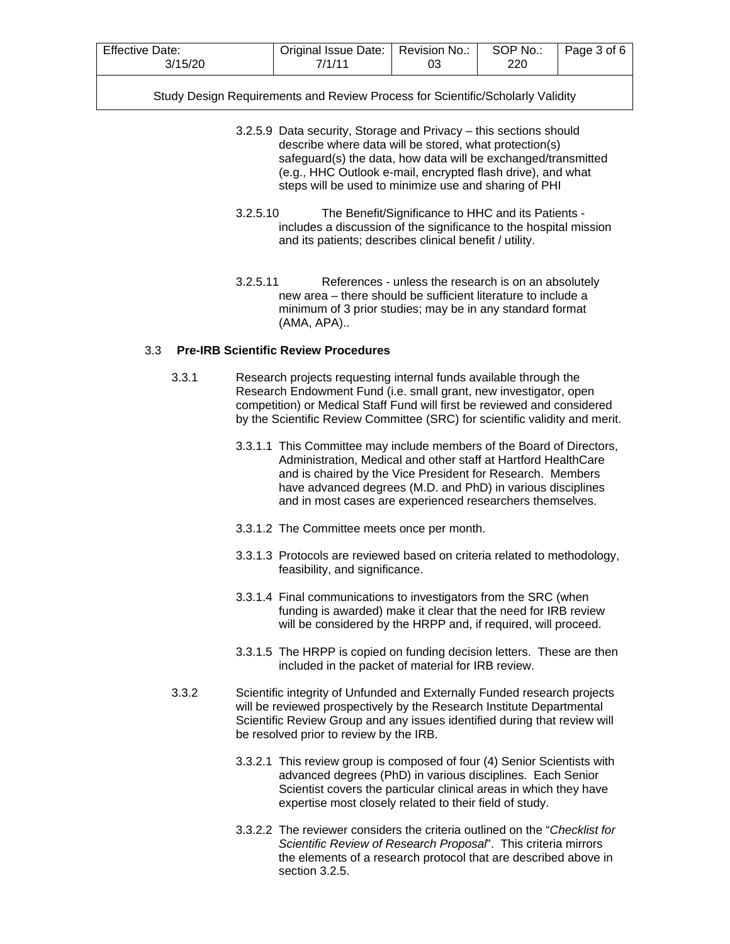| <b>Effective Date:</b> | Original Issue Date:   Revision No.: |    | SOP No.: | Page 3 of 6 |
|------------------------|--------------------------------------|----|----------|-------------|
| 3/15/20                | 7/1/11                               | UJ | 220      |             |

- 3.2.5.9 Data security, Storage and Privacy this sections should describe where data will be stored, what protection(s) safeguard(s) the data, how data will be exchanged/transmitted (e.g., HHC Outlook e-mail, encrypted flash drive), and what steps will be used to minimize use and sharing of PHI
- 3.2.5.10 The Benefit/Significance to HHC and its Patients includes a discussion of the significance to the hospital mission and its patients; describes clinical benefit / utility.
- 3.2.5.11 References unless the research is on an absolutely new area – there should be sufficient literature to include a minimum of 3 prior studies; may be in any standard format (AMA, APA)..

## 3.3 **Pre-IRB Scientific Review Procedures**

- 3.3.1 Research projects requesting internal funds available through the Research Endowment Fund (i.e. small grant, new investigator, open competition) or Medical Staff Fund will first be reviewed and considered by the Scientific Review Committee (SRC) for scientific validity and merit.
	- 3.3.1.1 This Committee may include members of the Board of Directors, Administration, Medical and other staff at Hartford HealthCare and is chaired by the Vice President for Research. Members have advanced degrees (M.D. and PhD) in various disciplines and in most cases are experienced researchers themselves.
	- 3.3.1.2 The Committee meets once per month.
	- 3.3.1.3 Protocols are reviewed based on criteria related to methodology, feasibility, and significance.
	- 3.3.1.4 Final communications to investigators from the SRC (when funding is awarded) make it clear that the need for IRB review will be considered by the HRPP and, if required, will proceed.
	- 3.3.1.5 The HRPP is copied on funding decision letters. These are then included in the packet of material for IRB review.
- 3.3.2 Scientific integrity of Unfunded and Externally Funded research projects will be reviewed prospectively by the Research Institute Departmental Scientific Review Group and any issues identified during that review will be resolved prior to review by the IRB.
	- 3.3.2.1 This review group is composed of four (4) Senior Scientists with advanced degrees (PhD) in various disciplines. Each Senior Scientist covers the particular clinical areas in which they have expertise most closely related to their field of study.
	- 3.3.2.2 The reviewer considers the criteria outlined on the "*Checklist for Scientific Review of Research Proposal*". This criteria mirrors the elements of a research protocol that are described above in section 3.2.5.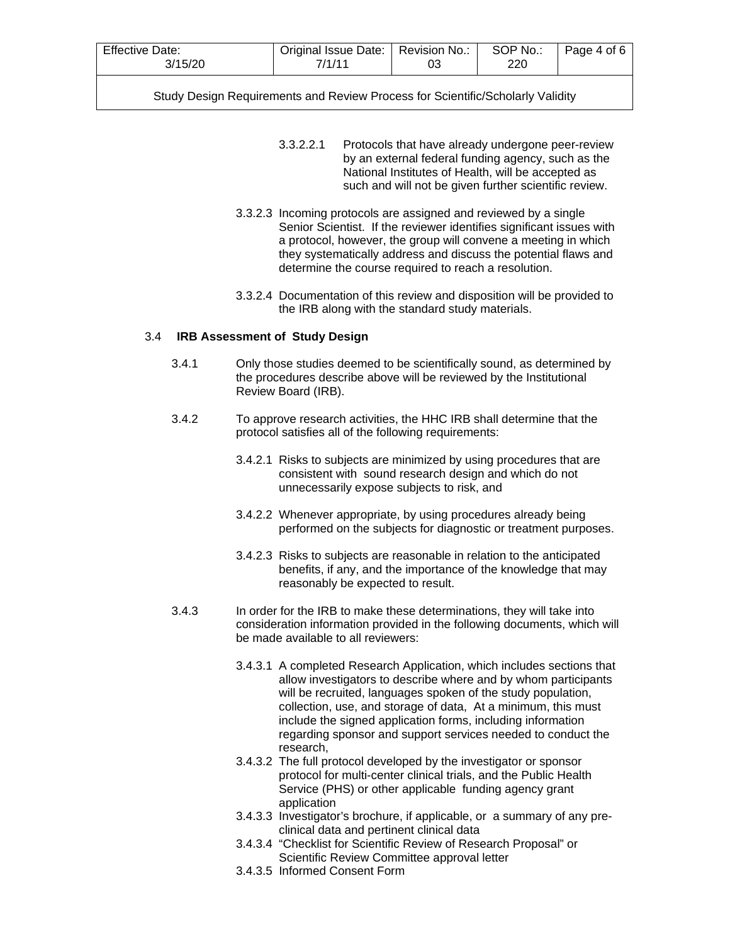| Effective Date: |        | Original Issue Date:   Revision No.: | SOP No.: | Page 4 of 6 |
|-----------------|--------|--------------------------------------|----------|-------------|
| 3/15/20         | 7/1/11 |                                      | 220      |             |

- 3.3.2.2.1 Protocols that have already undergone peer-review by an external federal funding agency, such as the National Institutes of Health, will be accepted as such and will not be given further scientific review.
- 3.3.2.3 Incoming protocols are assigned and reviewed by a single Senior Scientist. If the reviewer identifies significant issues with a protocol, however, the group will convene a meeting in which they systematically address and discuss the potential flaws and determine the course required to reach a resolution.
- 3.3.2.4 Documentation of this review and disposition will be provided to the IRB along with the standard study materials.

#### 3.4 **IRB Assessment of Study Design**

- 3.4.1 Only those studies deemed to be scientifically sound, as determined by the procedures describe above will be reviewed by the Institutional Review Board (IRB).
- 3.4.2 To approve research activities, the HHC IRB shall determine that the protocol satisfies all of the following requirements:
	- 3.4.2.1 Risks to subjects are minimized by using procedures that are consistent with sound research design and which do not unnecessarily expose subjects to risk, and
	- 3.4.2.2 Whenever appropriate, by using procedures already being performed on the subjects for diagnostic or treatment purposes.
	- 3.4.2.3 Risks to subjects are reasonable in relation to the anticipated benefits, if any, and the importance of the knowledge that may reasonably be expected to result.
- 3.4.3 In order for the IRB to make these determinations, they will take into consideration information provided in the following documents, which will be made available to all reviewers:
	- 3.4.3.1 A completed Research Application, which includes sections that allow investigators to describe where and by whom participants will be recruited, languages spoken of the study population, collection, use, and storage of data, At a minimum, this must include the signed application forms, including information regarding sponsor and support services needed to conduct the research,
	- 3.4.3.2 The full protocol developed by the investigator or sponsor protocol for multi-center clinical trials, and the Public Health Service (PHS) or other applicable funding agency grant application
	- 3.4.3.3 Investigator's brochure, if applicable, or a summary of any preclinical data and pertinent clinical data
	- 3.4.3.4 "Checklist for Scientific Review of Research Proposal" or Scientific Review Committee approval letter
	- 3.4.3.5 Informed Consent Form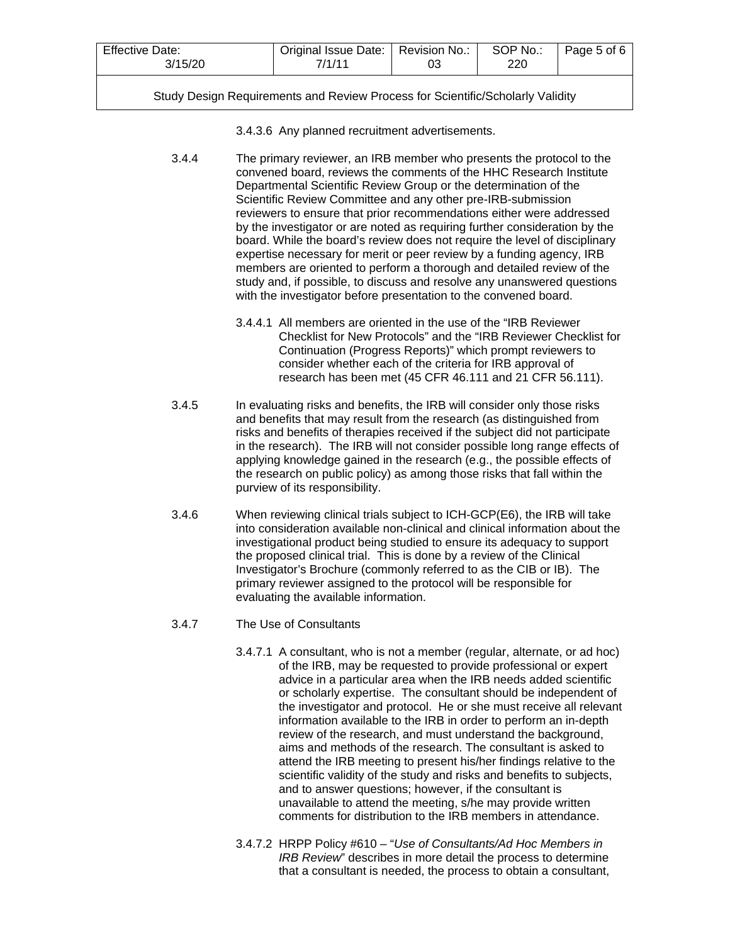| <b>Effective Date:</b><br>3/15/20 | 7/1/11 | Original Issue Date:   Revision No.: |  | Page 5 of 6 |
|-----------------------------------|--------|--------------------------------------|--|-------------|
|                                   |        |                                      |  |             |

3.4.3.6 Any planned recruitment advertisements.

3.4.4 The primary reviewer, an IRB member who presents the protocol to the convened board, reviews the comments of the HHC Research Institute Departmental Scientific Review Group or the determination of the Scientific Review Committee and any other pre-IRB-submission reviewers to ensure that prior recommendations either were addressed by the investigator or are noted as requiring further consideration by the board. While the board's review does not require the level of disciplinary expertise necessary for merit or peer review by a funding agency, IRB members are oriented to perform a thorough and detailed review of the study and, if possible, to discuss and resolve any unanswered questions with the investigator before presentation to the convened board.

- 3.4.4.1 All members are oriented in the use of the "IRB Reviewer Checklist for New Protocols" and the "IRB Reviewer Checklist for Continuation (Progress Reports)" which prompt reviewers to consider whether each of the criteria for IRB approval of research has been met (45 CFR 46.111 and 21 CFR 56.111).
- 3.4.5 In evaluating risks and benefits, the IRB will consider only those risks and benefits that may result from the research (as distinguished from risks and benefits of therapies received if the subject did not participate in the research). The IRB will not consider possible long range effects of applying knowledge gained in the research (e.g., the possible effects of the research on public policy) as among those risks that fall within the purview of its responsibility.
- 3.4.6 When reviewing clinical trials subject to ICH-GCP(E6), the IRB will take into consideration available non-clinical and clinical information about the investigational product being studied to ensure its adequacy to support the proposed clinical trial. This is done by a review of the Clinical Investigator's Brochure (commonly referred to as the CIB or IB). The primary reviewer assigned to the protocol will be responsible for evaluating the available information.
- 3.4.7 The Use of Consultants
	- 3.4.7.1 A consultant, who is not a member (regular, alternate, or ad hoc) of the IRB, may be requested to provide professional or expert advice in a particular area when the IRB needs added scientific or scholarly expertise. The consultant should be independent of the investigator and protocol. He or she must receive all relevant information available to the IRB in order to perform an in-depth review of the research, and must understand the background, aims and methods of the research. The consultant is asked to attend the IRB meeting to present his/her findings relative to the scientific validity of the study and risks and benefits to subjects, and to answer questions; however, if the consultant is unavailable to attend the meeting, s/he may provide written comments for distribution to the IRB members in attendance.
	- 3.4.7.2 HRPP Policy #610 "*Use of Consultants/Ad Hoc Members in IRB Review*" describes in more detail the process to determine that a consultant is needed, the process to obtain a consultant,